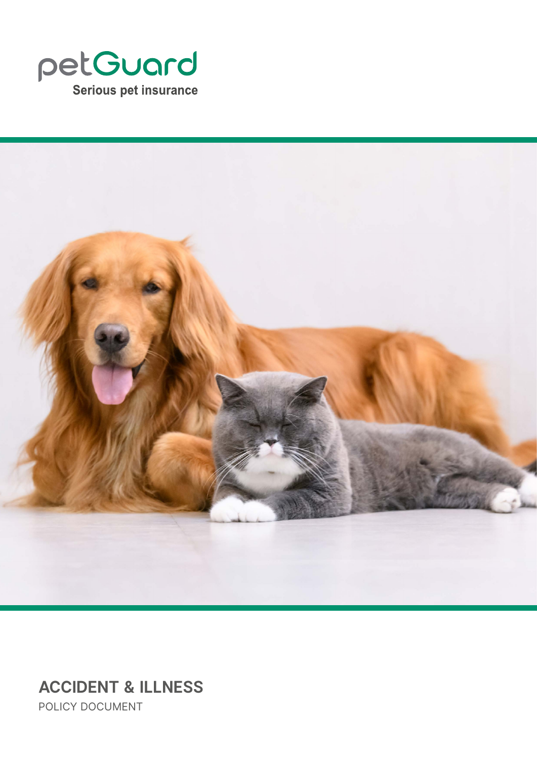



# **ACCIDENT & ILLNESS**

POLICY DOCUMENT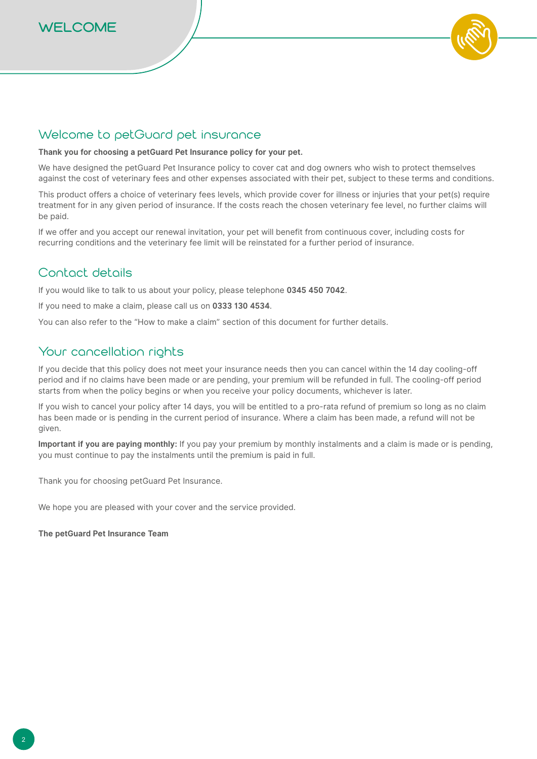



# Welcome to petGuard pet insurance

**Thank you for choosing a petGuard Pet Insurance policy for your pet.**

We have designed the petGuard Pet Insurance policy to cover cat and dog owners who wish to protect themselves against the cost of veterinary fees and other expenses associated with their pet, subject to these terms and conditions.

This product offers a choice of veterinary fees levels, which provide cover for illness or injuries that your pet(s) require treatment for in any given period of insurance. If the costs reach the chosen veterinary fee level, no further claims will be paid.

If we offer and you accept our renewal invitation, your pet will benefit from continuous cover, including costs for recurring conditions and the veterinary fee limit will be reinstated for a further period of insurance.

# Contact details

If you would like to talk to us about your policy, please telephone **0345 450 7042**.

If you need to make a claim, please call us on **0333 130 4534**.

You can also refer to the "How to make a claim" section of this document for further details.

## Your cancellation rights

If you decide that this policy does not meet your insurance needs then you can cancel within the 14 day cooling-off period and if no claims have been made or are pending, your premium will be refunded in full. The cooling-off period starts from when the policy begins or when you receive your policy documents, whichever is later.

If you wish to cancel your policy after 14 days, you will be entitled to a pro-rata refund of premium so long as no claim has been made or is pending in the current period of insurance. Where a claim has been made, a refund will not be given.

**Important if you are paying monthly:** If you pay your premium by monthly instalments and a claim is made or is pending, you must continue to pay the instalments until the premium is paid in full.

Thank you for choosing petGuard Pet Insurance.

We hope you are pleased with your cover and the service provided.

**The petGuard Pet Insurance Team**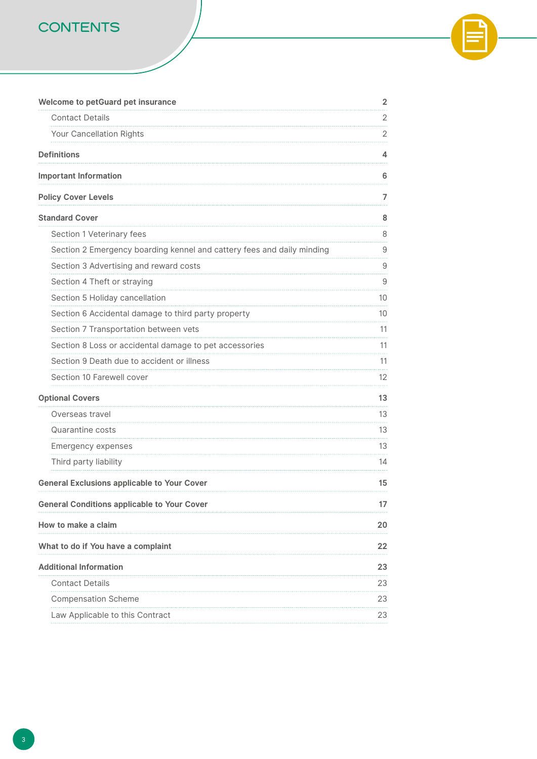# **CONTENTS**



| Welcome to petGuard pet insurance                                      | $\overline{2}$ |  |
|------------------------------------------------------------------------|----------------|--|
| <b>Contact Details</b>                                                 | 2              |  |
| Your Cancellation Rights                                               | 2              |  |
| <b>Definitions</b>                                                     |                |  |
| <b>Important Information</b>                                           | 6              |  |
| <b>Policy Cover Levels</b>                                             | 7              |  |
| <b>Standard Cover</b>                                                  | 8              |  |
| Section 1 Veterinary fees                                              | 8              |  |
| Section 2 Emergency boarding kennel and cattery fees and daily minding | 9              |  |
| Section 3 Advertising and reward costs                                 | 9              |  |
| Section 4 Theft or straying                                            | 9              |  |
| Section 5 Holiday cancellation                                         | 10             |  |
| Section 6 Accidental damage to third party property                    | 10             |  |
| Section 7 Transportation between vets                                  | 11             |  |
| Section 8 Loss or accidental damage to pet accessories                 | 11             |  |
| Section 9 Death due to accident or illness                             | 11             |  |
| Section 10 Farewell cover                                              | 12             |  |
| <b>Optional Covers</b>                                                 | 13             |  |
| Overseas travel                                                        | 13             |  |
| <b>Quarantine costs</b>                                                | 13             |  |
| <b>Emergency expenses</b>                                              | 13             |  |
| Third party liability                                                  | 14             |  |
| <b>General Exclusions applicable to Your Cover</b>                     | 15             |  |
| <b>General Conditions applicable to Your Cover</b>                     | 17             |  |
| How to make a claim                                                    | 20             |  |
| What to do if You have a complaint                                     | 22             |  |
| <b>Additional Information</b>                                          | 23             |  |
| <b>Contact Details</b>                                                 | 23             |  |
| <b>Compensation Scheme</b>                                             | 23             |  |
| Law Applicable to this Contract                                        | 23             |  |
|                                                                        |                |  |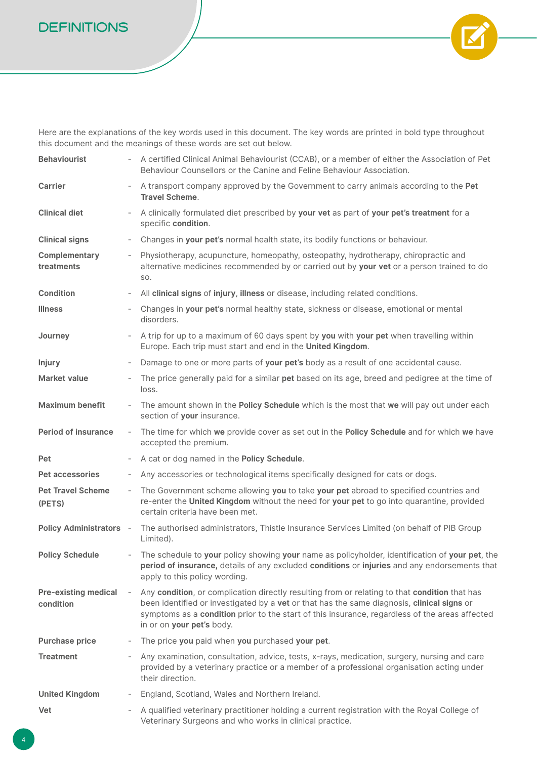# **DEFINITIONS**



Here are the explanations of the key words used in this document. The key words are printed in bold type throughout this document and the meanings of these words are set out below.

| <b>Behaviourist</b>                      |                          | A certified Clinical Animal Behaviourist (CCAB), or a member of either the Association of Pet<br>Behaviour Counsellors or the Canine and Feline Behaviour Association.                                                                                                                                                     |
|------------------------------------------|--------------------------|----------------------------------------------------------------------------------------------------------------------------------------------------------------------------------------------------------------------------------------------------------------------------------------------------------------------------|
| <b>Carrier</b>                           | $-$                      | A transport company approved by the Government to carry animals according to the Pet<br><b>Travel Scheme.</b>                                                                                                                                                                                                              |
| <b>Clinical diet</b>                     | $-$                      | A clinically formulated diet prescribed by your vet as part of your pet's treatment for a<br>specific condition.                                                                                                                                                                                                           |
| <b>Clinical signs</b>                    | $\overline{\phantom{a}}$ | Changes in your pet's normal health state, its bodily functions or behaviour.                                                                                                                                                                                                                                              |
| Complementary<br>treatments              | $ \,$                    | Physiotherapy, acupuncture, homeopathy, osteopathy, hydrotherapy, chiropractic and<br>alternative medicines recommended by or carried out by your vet or a person trained to do<br>SO.                                                                                                                                     |
| <b>Condition</b>                         | $\overline{\phantom{a}}$ | All clinical signs of injury, illness or disease, including related conditions.                                                                                                                                                                                                                                            |
| <b>Illness</b>                           |                          | Changes in your pet's normal healthy state, sickness or disease, emotional or mental<br>disorders.                                                                                                                                                                                                                         |
| Journey                                  |                          | A trip for up to a maximum of 60 days spent by you with your pet when travelling within<br>Europe. Each trip must start and end in the United Kingdom.                                                                                                                                                                     |
| <b>Injury</b>                            |                          | Damage to one or more parts of your pet's body as a result of one accidental cause.                                                                                                                                                                                                                                        |
| <b>Market value</b>                      |                          | The price generally paid for a similar pet based on its age, breed and pedigree at the time of<br>loss.                                                                                                                                                                                                                    |
| <b>Maximum benefit</b>                   | $\overline{\phantom{a}}$ | The amount shown in the Policy Schedule which is the most that we will pay out under each<br>section of your insurance.                                                                                                                                                                                                    |
| <b>Period of insurance</b>               | $\sim$                   | The time for which we provide cover as set out in the Policy Schedule and for which we have<br>accepted the premium.                                                                                                                                                                                                       |
| Pet                                      |                          | A cat or dog named in the Policy Schedule.                                                                                                                                                                                                                                                                                 |
| Pet accessories                          | $\sim$                   | Any accessories or technological items specifically designed for cats or dogs.                                                                                                                                                                                                                                             |
| <b>Pet Travel Scheme</b><br>(PETS)       | $\sim$                   | The Government scheme allowing you to take your pet abroad to specified countries and<br>re-enter the United Kingdom without the need for your pet to go into quarantine, provided<br>certain criteria have been met.                                                                                                      |
| <b>Policy Administrators -</b>           |                          | The authorised administrators, Thistle Insurance Services Limited (on behalf of PIB Group<br>Limited).                                                                                                                                                                                                                     |
| <b>Policy Schedule</b>                   |                          | - The schedule to your policy showing your name as policyholder, identification of your pet, the<br>period of insurance, details of any excluded conditions or injuries and any endorsements that<br>apply to this policy wording.                                                                                         |
| <b>Pre-existing medical</b><br>condition | $\overline{\phantom{a}}$ | Any condition, or complication directly resulting from or relating to that condition that has<br>been identified or investigated by a vet or that has the same diagnosis, clinical signs or<br>symptoms as a condition prior to the start of this insurance, regardless of the areas affected<br>in or on your pet's body. |
| <b>Purchase price</b>                    |                          | The price you paid when you purchased your pet.                                                                                                                                                                                                                                                                            |
| <b>Treatment</b>                         |                          | Any examination, consultation, advice, tests, x-rays, medication, surgery, nursing and care<br>provided by a veterinary practice or a member of a professional organisation acting under<br>their direction.                                                                                                               |
| <b>United Kingdom</b>                    | $\overline{\phantom{a}}$ | England, Scotland, Wales and Northern Ireland.                                                                                                                                                                                                                                                                             |
| Vet                                      |                          | A qualified veterinary practitioner holding a current registration with the Royal College of<br>Veterinary Surgeons and who works in clinical practice.                                                                                                                                                                    |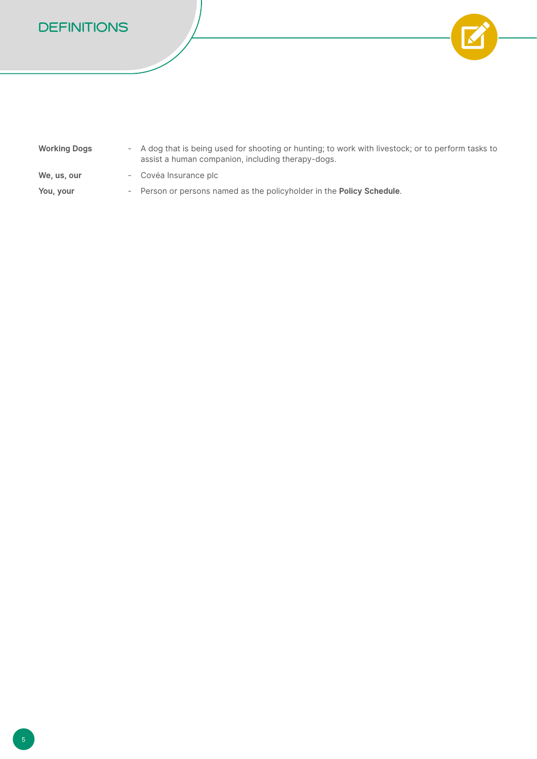# **DEFINITIONS**



| <b>Working Dogs</b> |  |
|---------------------|--|
|---------------------|--|

- A dog that is being used for shooting or hunting; to work with livestock; or to perform tasks to assist a human companion, including therapy-dogs.

- We, us, our **-** Covéa Insurance plc
- **You, your** Person or persons named as the policyholder in the **Policy Schedule**.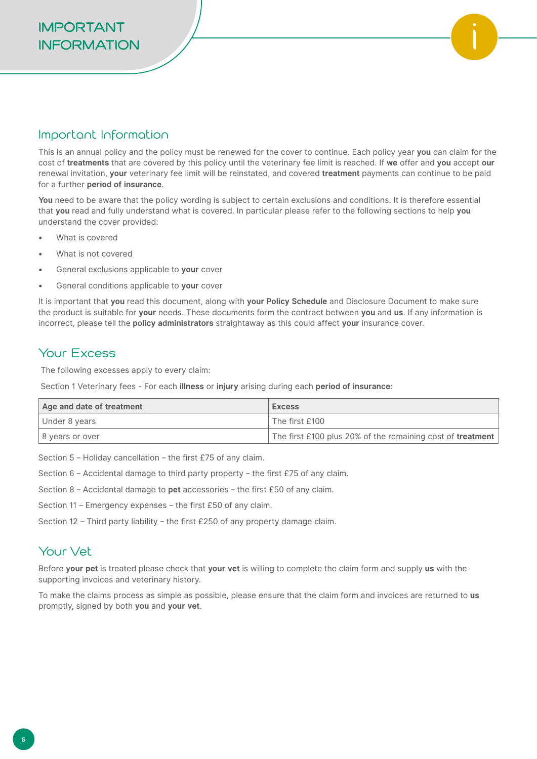## Important Information

This is an annual policy and the policy must be renewed for the cover to continue. Each policy year **you** can claim for the cost of **treatments** that are covered by this policy until the veterinary fee limit is reached. If **we** offer and **you** accept **our**  renewal invitation, **your** veterinary fee limit will be reinstated, and covered **treatment** payments can continue to be paid for a further **period of insurance**.

You need to be aware that the policy wording is subject to certain exclusions and conditions. It is therefore essential that **you** read and fully understand what is covered. In particular please refer to the following sections to help **you**  understand the cover provided:

- What is covered
- What is not covered
- General exclusions applicable to **your** cover
- General conditions applicable to **your** cover

It is important that **you** read this document, along with **your Policy Schedule** and Disclosure Document to make sure the product is suitable for **your** needs. These documents form the contract between **you** and **us**. If any information is incorrect, please tell the **policy administrators** straightaway as this could affect **your** insurance cover.

### Your Excess

The following excesses apply to every claim:

Section 1 Veterinary fees - For each **illness** or **injury** arising during each **period of insurance**:

| Age and date of treatment | <b>Excess</b>                                              |  |
|---------------------------|------------------------------------------------------------|--|
| Under 8 years             | The first £100                                             |  |
| 8 years or over           | The first £100 plus 20% of the remaining cost of treatment |  |

Section 5 – Holiday cancellation – the first £75 of any claim.

Section 6 – Accidental damage to third party property – the first £75 of any claim.

Section 8 – Accidental damage to **pet** accessories – the first £50 of any claim.

Section 11 – Emergency expenses – the first £50 of any claim.

Section 12 – Third party liability – the first £250 of any property damage claim.

### Your Vet

Before **your pet** is treated please check that **your vet** is willing to complete the claim form and supply **us** with the supporting invoices and veterinary history.

To make the claims process as simple as possible, please ensure that the claim form and invoices are returned to **us**  promptly, signed by both **you** and **your vet**.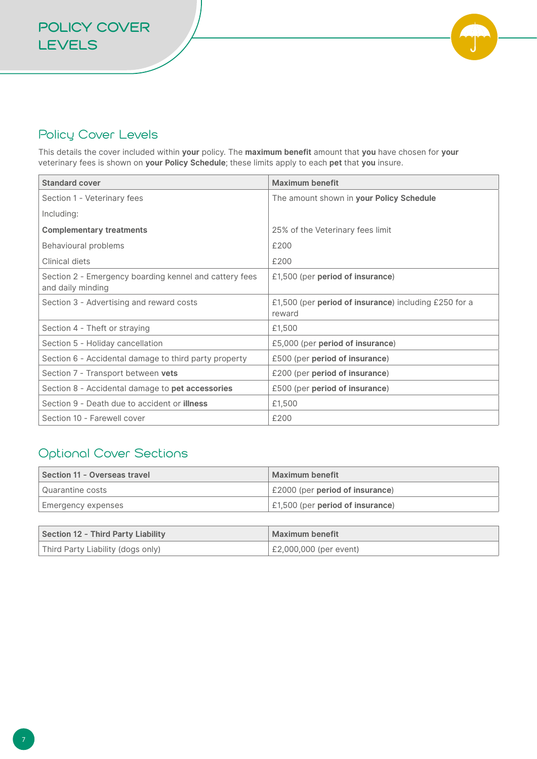# Policy Cover Levels

This details the cover included within **your** policy. The **maximum benefit** amount that **you** have chosen for **your** veterinary fees is shown on **your Policy Schedule**; these limits apply to each **pet** that **you** insure.

| <b>Standard cover</b>                                                       | <b>Maximum benefit</b>                                                  |
|-----------------------------------------------------------------------------|-------------------------------------------------------------------------|
| Section 1 - Veterinary fees                                                 | The amount shown in your Policy Schedule                                |
| Including:                                                                  |                                                                         |
| <b>Complementary treatments</b>                                             | 25% of the Veterinary fees limit                                        |
| Behavioural problems                                                        | £200                                                                    |
| Clinical diets                                                              | £200                                                                    |
| Section 2 - Emergency boarding kennel and cattery fees<br>and daily minding | £1,500 (per period of insurance)                                        |
| Section 3 - Advertising and reward costs                                    | £1,500 (per <b>period of insurance</b> ) including £250 for a<br>reward |
| Section 4 - Theft or straying                                               | £1,500                                                                  |
| Section 5 - Holiday cancellation                                            | £5,000 (per period of insurance)                                        |
| Section 6 - Accidental damage to third party property                       | £500 (per period of insurance)                                          |
| Section 7 - Transport between vets                                          | £200 (per period of insurance)                                          |
| Section 8 - Accidental damage to pet accessories                            | £500 (per period of insurance)                                          |
| Section 9 - Death due to accident or <b>illness</b>                         | £1,500                                                                  |
| Section 10 - Farewell cover                                                 | £200                                                                    |

# Optional Cover Sections

| Section 11 - Overseas travel | Maximum benefit                  |
|------------------------------|----------------------------------|
| Quarantine costs             | £2000 (per period of insurance)  |
| Emergency expenses           | E1,500 (per period of insurance) |

| <b>Section 12 - Third Party Liability</b> | <b>Maximum benefit</b>         |
|-------------------------------------------|--------------------------------|
| Third Party Liability (dogs only)         | $\vert$ £2,000,000 (per event) |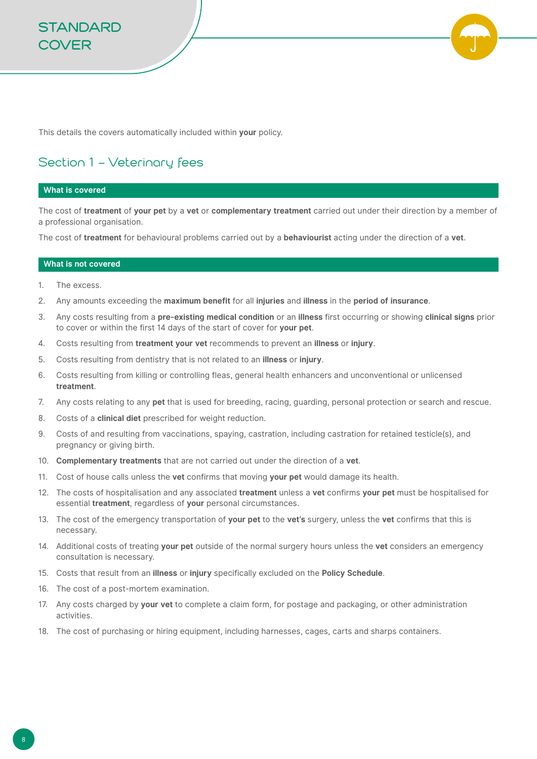

This details the covers automatically included within **your** policy.

# Section 1 - Veterinary fees

#### **What is covered**

The cost of **treatment** of **your pet** by a **vet** or **complementary treatment** carried out under their direction by a member of a professional organisation.

The cost of **treatment** for behavioural problems carried out by a **behaviourist** acting under the direction of a **vet**.

- 1. The excess.
- 2. Any amounts exceeding the **maximum benefit** for all **injuries** and **illness** in the **period of insurance**.
- 3. Any costs resulting from a **pre-existing medical condition** or an **illness** first occurring or showing **clinical signs** prior to cover or within the first 14 days of the start of cover for **your pet**.
- 4. Costs resulting from **treatment your vet** recommends to prevent an **illness** or **injury**.
- 5. Costs resulting from dentistry that is not related to an **illness** or **injury**.
- 6. Costs resulting from killing or controlling fleas, general health enhancers and unconventional or unlicensed **treatment**.
- 7. Any costs relating to any **pet** that is used for breeding, racing, guarding, personal protection or search and rescue.
- 8. Costs of a **clinical diet** prescribed for weight reduction.
- 9. Costs of and resulting from vaccinations, spaying, castration, including castration for retained testicle(s), and pregnancy or giving birth.
- 10. **Complementary treatments** that are not carried out under the direction of a **vet**.
- 11. Cost of house calls unless the **vet** confirms that moving **your pet** would damage its health.
- 12. The costs of hospitalisation and any associated **treatment** unless a **vet** confirms **your pet** must be hospitalised for essential **treatment**, regardless of **your** personal circumstances.
- 13. The cost of the emergency transportation of **your pet** to the **vet's** surgery, unless the **vet** confirms that this is necessary.
- 14. Additional costs of treating **your pet** outside of the normal surgery hours unless the **vet** considers an emergency consultation is necessary.
- 15. Costs that result from an **illness** or **injury** specifically excluded on the **Policy Schedule**.
- 16. The cost of a post-mortem examination.
- 17. Any costs charged by **your vet** to complete a claim form, for postage and packaging, or other administration activities.
- 18. The cost of purchasing or hiring equipment, including harnesses, cages, carts and sharps containers.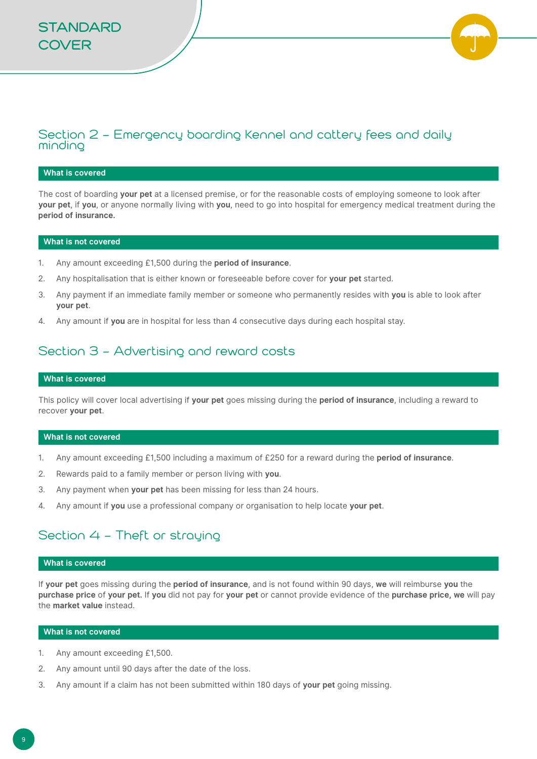

### Section 2 - Emergency boarding kennel and cattery fees and daily minding

#### **What is covered**

The cost of boarding **your pet** at a licensed premise, or for the reasonable costs of employing someone to look after **your pet**, if **you**, or anyone normally living with **you**, need to go into hospital for emergency medical treatment during the **period of insurance.**

#### **What is not covered**

- 1. Any amount exceeding £1,500 during the **period of insurance**.
- 2. Any hospitalisation that is either known or foreseeable before cover for **your pet** started.
- 3. Any payment if an immediate family member or someone who permanently resides with **you** is able to look after **your pet**.
- 4. Any amount if **you** are in hospital for less than 4 consecutive days during each hospital stay.

### Section 3 - Advertising and reward costs

#### **What is covered**

This policy will cover local advertising if **your pet** goes missing during the **period of insurance**, including a reward to recover **your pet**.

#### **What is not covered**

- 1. Any amount exceeding £1,500 including a maximum of £250 for a reward during the **period of insurance**.
- 2. Rewards paid to a family member or person living with **you**.
- 3. Any payment when **your pet** has been missing for less than 24 hours.
- 4. Any amount if **you** use a professional company or organisation to help locate **your pet**.

## Section 4 - Theft or straying

#### **What is covered**

If **your pet** goes missing during the **period of insurance**, and is not found within 90 days, **we** will reimburse **you** the **purchase price** of **your pet.** If **you** did not pay for **your pet** or cannot provide evidence of the **purchase price, we** will pay the **market value** instead.

- 1. Any amount exceeding £1,500.
- 2. Any amount until 90 days after the date of the loss.
- 3. Any amount if a claim has not been submitted within 180 days of **your pet** going missing.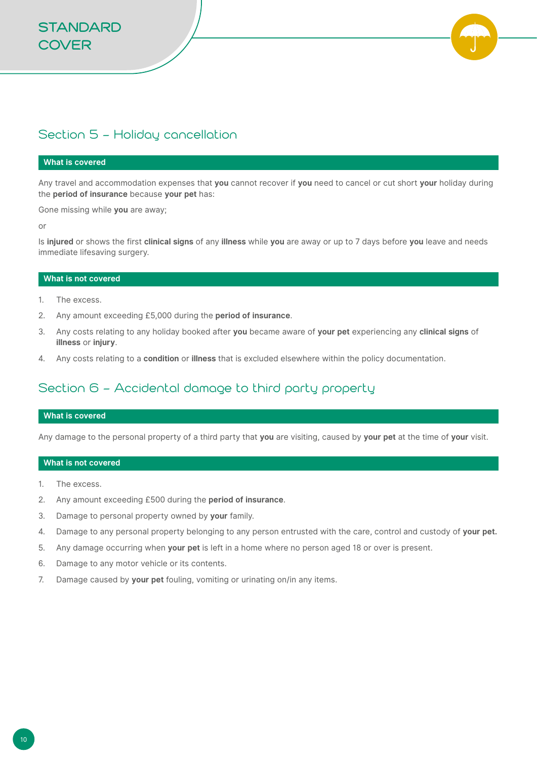

# Section 5 - Holiday cancellation

#### **What is covered**

Any travel and accommodation expenses that **you** cannot recover if **you** need to cancel or cut short **your** holiday during the **period of insurance** because **your pet** has:

Gone missing while **you** are away;

or

Is **injured** or shows the first **clinical signs** of any **illness** while **you** are away or up to 7 days before **you** leave and needs immediate lifesaving surgery.

#### **What is not covered**

- 1. The excess.
- 2. Any amount exceeding £5,000 during the **period of insurance**.
- 3. Any costs relating to any holiday booked after **you** became aware of **your pet** experiencing any **clinical signs** of **illness** or **injury**.
- 4. Any costs relating to a **condition** or **illness** that is excluded elsewhere within the policy documentation.

# Section 6 - Accidental damage to third party property

#### **What is covered**

Any damage to the personal property of a third party that **you** are visiting, caused by **your pet** at the time of **your** visit.

- 1. The excess.
- 2. Any amount exceeding £500 during the **period of insurance**.
- 3. Damage to personal property owned by **your** family.
- 4. Damage to any personal property belonging to any person entrusted with the care, control and custody of **your pet.**
- 5. Any damage occurring when **your pet** is left in a home where no person aged 18 or over is present.
- 6. Damage to any motor vehicle or its contents.
- 7. Damage caused by **your pet** fouling, vomiting or urinating on/in any items.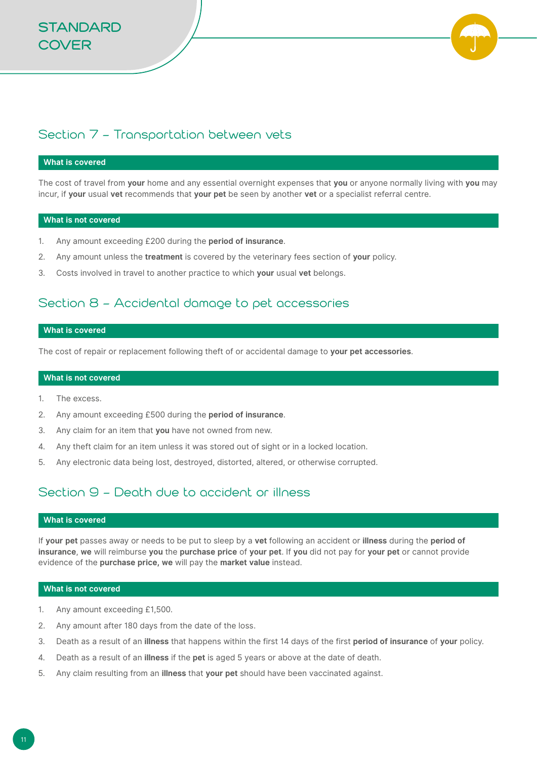

# Section 7 - Transportation between vets

#### **What is covered**

The cost of travel from **your** home and any essential overnight expenses that **you** or anyone normally living with **you** may incur, if **your** usual **vet** recommends that **your pet** be seen by another **vet** or a specialist referral centre.

#### **What is not covered**

- 1. Any amount exceeding £200 during the **period of insurance**.
- 2. Any amount unless the **treatment** is covered by the veterinary fees section of **your** policy.
- 3. Costs involved in travel to another practice to which **your** usual **vet** belongs.

### Section 8 - Accidental damage to pet accessories

#### **What is covered**

The cost of repair or replacement following theft of or accidental damage to **your pet accessories**.

#### **What is not covered**

- 1. The excess.
- 2. Any amount exceeding £500 during the **period of insurance**.
- 3. Any claim for an item that **you** have not owned from new.
- 4. Any theft claim for an item unless it was stored out of sight or in a locked location.
- 5. Any electronic data being lost, destroyed, distorted, altered, or otherwise corrupted.

### Section 9 - Death due to accident or illness

#### **What is covered**

If **your pet** passes away or needs to be put to sleep by a **vet** following an accident or **illness** during the **period of insurance**, **we** will reimburse **you** the **purchase price** of **your pet**. If **you** did not pay for **your pet** or cannot provide evidence of the **purchase price, we** will pay the **market value** instead.

- 1. Any amount exceeding £1,500.
- 2. Any amount after 180 days from the date of the loss.
- 3. Death as a result of an **illness** that happens within the first 14 days of the first **period of insurance** of **your** policy.
- 4. Death as a result of an **illness** if the **pet** is aged 5 years or above at the date of death.
- 5. Any claim resulting from an **illness** that **your pet** should have been vaccinated against.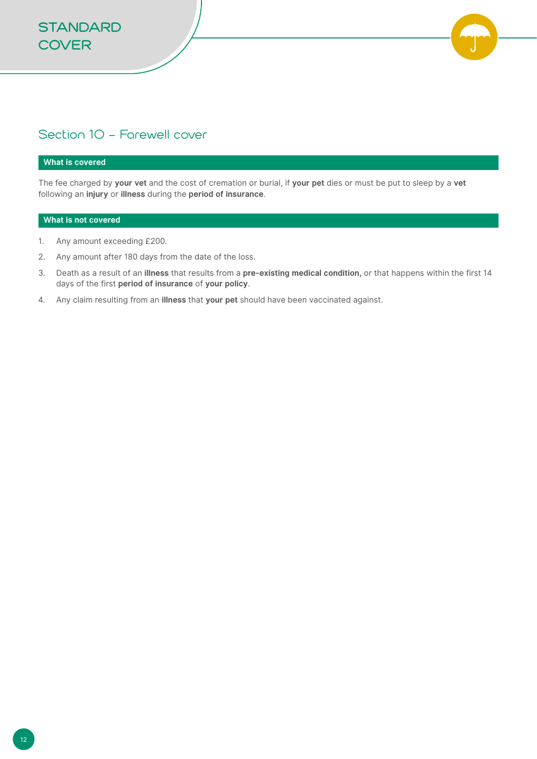

# Section 10 - Farewell cover

#### **What is covered**

The fee charged by **your vet** and the cost of cremation or burial, if **your pet** dies or must be put to sleep by a **vet**  following an **injury** or **illness** during the **period of insurance**.

- 1. Any amount exceeding £200.
- 2. Any amount after 180 days from the date of the loss.
- 3. Death as a result of an **illness** that results from a **pre-existing medical condition,** or that happens within the first 14 days of the first **period of insurance** of **your policy**.
- 4. Any claim resulting from an **illness** that **your pet** should have been vaccinated against.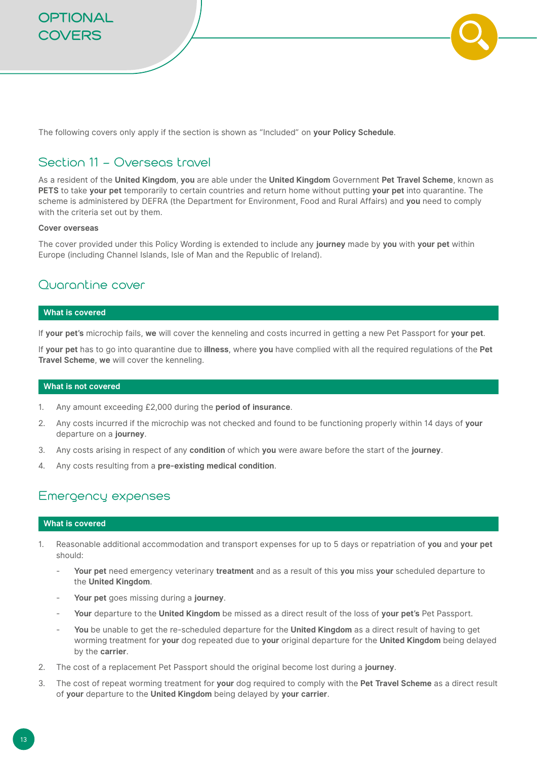



The following covers only apply if the section is shown as "Included" on **your Policy Schedule**.

## Section 11 - Overseas travel

As a resident of the **United Kingdom**, **you** are able under the **United Kingdom** Government **Pet Travel Scheme**, known as **PETS** to take **your pet** temporarily to certain countries and return home without putting **your pet** into quarantine. The scheme is administered by DEFRA (the Department for Environment, Food and Rural Affairs) and **you** need to comply with the criteria set out by them.

#### **Cover overseas**

The cover provided under this Policy Wording is extended to include any **journey** made by **you** with **your pet** within Europe (including Channel Islands, Isle of Man and the Republic of Ireland).

### Quarantine cover

#### **What is covered**

If **your pet's** microchip fails, **we** will cover the kenneling and costs incurred in getting a new Pet Passport for **your pet**.

If **your pet** has to go into quarantine due to **illness**, where **you** have complied with all the required regulations of the **Pet Travel Scheme**, **we** will cover the kenneling.

#### **What is not covered**

- 1. Any amount exceeding £2,000 during the **period of insurance**.
- 2. Any costs incurred if the microchip was not checked and found to be functioning properly within 14 days of **your** departure on a **journey**.
- 3. Any costs arising in respect of any **condition** of which **you** were aware before the start of the **journey**.
- 4. Any costs resulting from a **pre-existing medical condition**.

### Emergency expenses

#### **What is covered**

- 1. Reasonable additional accommodation and transport expenses for up to 5 days or repatriation of **you** and **your pet**  should:
	- - **Your pet** need emergency veterinary **treatment** and as a result of this **you** miss **your** scheduled departure to the **United Kingdom**.
	- - **Your pet** goes missing during a **journey**.
	- **Your** departure to the **United Kingdom** be missed as a direct result of the loss of **your pet's** Pet Passport.
	- - **You** be unable to get the re-scheduled departure for the **United Kingdom** as a direct result of having to get worming treatment for **your** dog repeated due to **your** original departure for the **United Kingdom** being delayed by the **carrier**.
- 2. The cost of a replacement Pet Passport should the original become lost during a **journey**.
- 3. The cost of repeat worming treatment for **your** dog required to comply with the **Pet Travel Scheme** as a direct result of **your** departure to the **United Kingdom** being delayed by **your carrier**.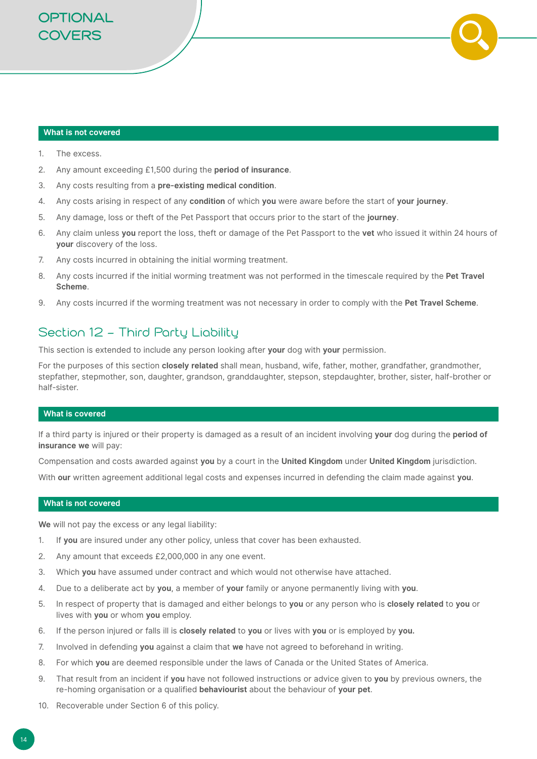#### **What is not covered**

- 1. The excess.
- 2. Any amount exceeding £1,500 during the **period of insurance**.
- 3. Any costs resulting from a **pre-existing medical condition**.
- 4. Any costs arising in respect of any **condition** of which **you** were aware before the start of **your journey**.
- 5. Any damage, loss or theft of the Pet Passport that occurs prior to the start of the **journey**.
- 6. Any claim unless **you** report the loss, theft or damage of the Pet Passport to the **vet** who issued it within 24 hours of **your** discovery of the loss.
- 7. Any costs incurred in obtaining the initial worming treatment.
- 8. Any costs incurred if the initial worming treatment was not performed in the timescale required by the **Pet Travel Scheme**.
- 9. Any costs incurred if the worming treatment was not necessary in order to comply with the **Pet Travel Scheme**.

#### Section 12 - Third Party Liability

This section is extended to include any person looking after **your** dog with **your** permission.

For the purposes of this section **closely related** shall mean, husband, wife, father, mother, grandfather, grandmother, stepfather, stepmother, son, daughter, grandson, granddaughter, stepson, stepdaughter, brother, sister, half-brother or half-sister.

#### **What is covered**

If a third party is injured or their property is damaged as a result of an incident involving **your** dog during the **period of insurance we** will pay:

Compensation and costs awarded against **you** by a court in the **United Kingdom** under **United Kingdom** jurisdiction.

With **our** written agreement additional legal costs and expenses incurred in defending the claim made against **you**.

#### **What is not covered**

**We** will not pay the excess or any legal liability:

- 1. If **you** are insured under any other policy, unless that cover has been exhausted.
- 2. Any amount that exceeds £2,000,000 in any one event.
- 3. Which **you** have assumed under contract and which would not otherwise have attached.
- 4. Due to a deliberate act by **you**, a member of **your** family or anyone permanently living with **you**.
- 5. In respect of property that is damaged and either belongs to **you** or any person who is **closely related** to **you** or lives with **you** or whom **you** employ.
- 6. If the person injured or falls ill is **closely related** to **you** or lives with **you** or is employed by **you.**
- 7. Involved in defending **you** against a claim that **we** have not agreed to beforehand in writing.
- 8. For which **you** are deemed responsible under the laws of Canada or the United States of America.
- 9. That result from an incident if **you** have not followed instructions or advice given to **you** by previous owners, the re-homing organisation or a qualified **behaviourist** about the behaviour of **your pet**.
- 10. Recoverable under Section 6 of this policy.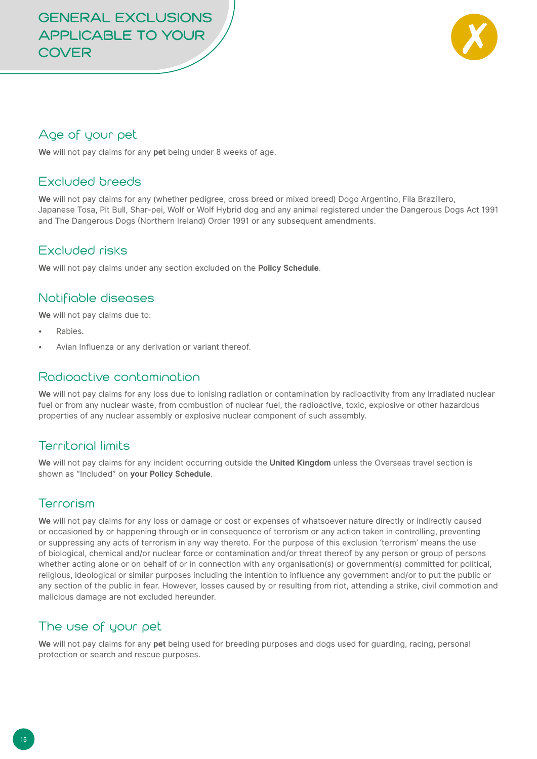# **GENERAL EXCLUSIONS APPLICABLE TO YOUR COVER**



# Age of your pet

**We** will not pay claims for any **pet** being under 8 weeks of age.

## Excluded breeds

**We** will not pay claims for any (whether pedigree, cross breed or mixed breed) Dogo Argentino, Fila Brazillero, Japanese Tosa, Pit Bull, Shar-pei, Wolf or Wolf Hybrid dog and any animal registered under the Dangerous Dogs Act 1991 and The Dangerous Dogs (Northern Ireland) Order 1991 or any subsequent amendments.

### Excluded risks

**We** will not pay claims under any section excluded on the **Policy Schedule**.

## Notifiable diseases

**We** will not pay claims due to:

- **•** Rabies.
- **•** Avian Influenza or any derivation or variant thereof.

### Radioactive contamination

**We** will not pay claims for any loss due to ionising radiation or contamination by radioactivity from any irradiated nuclear fuel or from any nuclear waste, from combustion of nuclear fuel, the radioactive, toxic, explosive or other hazardous properties of any nuclear assembly or explosive nuclear component of such assembly.

# Territorial limits

**We** will not pay claims for any incident occurring outside the **United Kingdom** unless the Overseas travel section is shown as "Included" on **your Policy Schedule**.

### **Terrorism**

**We** will not pay claims for any loss or damage or cost or expenses of whatsoever nature directly or indirectly caused or occasioned by or happening through or in consequence of terrorism or any action taken in controlling, preventing or suppressing any acts of terrorism in any way thereto. For the purpose of this exclusion 'terrorism' means the use of biological, chemical and/or nuclear force or contamination and/or threat thereof by any person or group of persons whether acting alone or on behalf of or in connection with any organisation(s) or government(s) committed for political, religious, ideological or similar purposes including the intention to influence any government and/or to put the public or any section of the public in fear. However, losses caused by or resulting from riot, attending a strike, civil commotion and malicious damage are not excluded hereunder.

# The use of your pet

**We** will not pay claims for any **pet** being used for breeding purposes and dogs used for guarding, racing, personal protection or search and rescue purposes.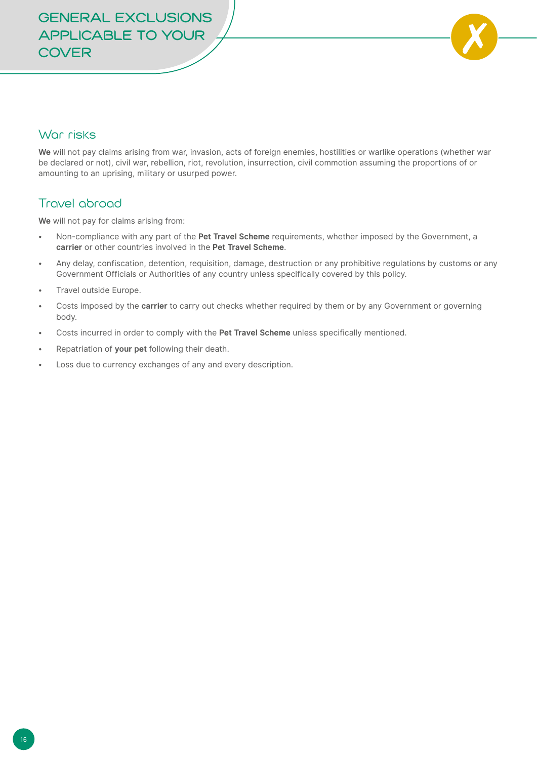

### War risks

**We** will not pay claims arising from war, invasion, acts of foreign enemies, hostilities or warlike operations (whether war be declared or not), civil war, rebellion, riot, revolution, insurrection, civil commotion assuming the proportions of or amounting to an uprising, military or usurped power.

# Travel abroad

**We** will not pay for claims arising from:

- **•** Non-compliance with any part of the **Pet Travel Scheme** requirements, whether imposed by the Government, a **carrier** or other countries involved in the **Pet Travel Scheme**.
- **•** Any delay, confiscation, detention, requisition, damage, destruction or any prohibitive regulations by customs or any Government Officials or Authorities of any country unless specifically covered by this policy.
- **•** Travel outside Europe.
- **•** Costs imposed by the **carrier** to carry out checks whether required by them or by any Government or governing body.
- **•** Costs incurred in order to comply with the **Pet Travel Scheme** unless specifically mentioned.
- **•** Repatriation of **your pet** following their death.
- **•** Loss due to currency exchanges of any and every description.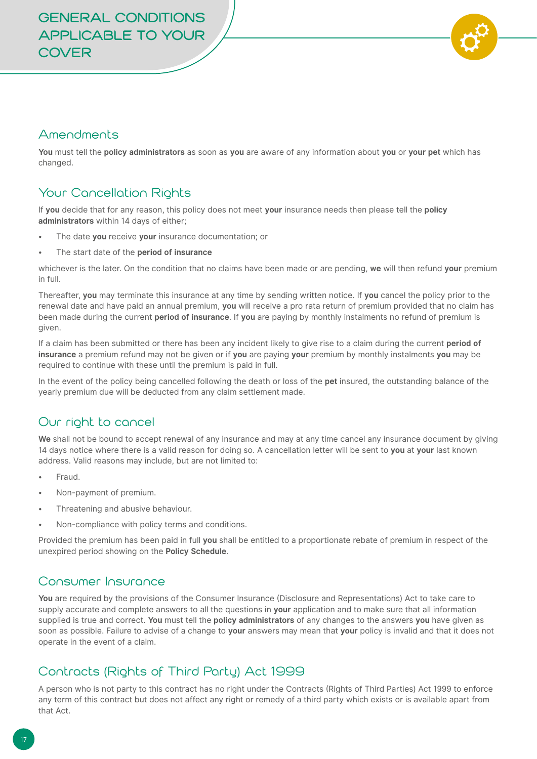

# Amendments

**You** must tell the **policy administrators** as soon as **you** are aware of any information about **you** or **your pet** which has changed.

# Your Cancellation Rights

If **you** decide that for any reason, this policy does not meet **your** insurance needs then please tell the **policy administrators** within 14 days of either;

- **•** The date **you** receive **your** insurance documentation; or
- **•** The start date of the **period of insurance**

whichever is the later. On the condition that no claims have been made or are pending, **we** will then refund **your** premium in full.

Thereafter, **you** may terminate this insurance at any time by sending written notice. If **you** cancel the policy prior to the renewal date and have paid an annual premium, **you** will receive a pro rata return of premium provided that no claim has been made during the current **period of insurance**. If **you** are paying by monthly instalments no refund of premium is given.

If a claim has been submitted or there has been any incident likely to give rise to a claim during the current **period of insurance** a premium refund may not be given or if **you** are paying **your** premium by monthly instalments **you** may be required to continue with these until the premium is paid in full.

In the event of the policy being cancelled following the death or loss of the **pet** insured, the outstanding balance of the yearly premium due will be deducted from any claim settlement made.

# Our right to cancel

**We** shall not be bound to accept renewal of any insurance and may at any time cancel any insurance document by giving 14 days notice where there is a valid reason for doing so. A cancellation letter will be sent to **you** at **your** last known address. Valid reasons may include, but are not limited to:

- **•** Fraud.
- **•** Non-payment of premium.
- **•** Threatening and abusive behaviour.
- **•** Non-compliance with policy terms and conditions.

Provided the premium has been paid in full **you** shall be entitled to a proportionate rebate of premium in respect of the unexpired period showing on the **Policy Schedule**.

### Consumer Insurance

**You** are required by the provisions of the Consumer Insurance (Disclosure and Representations) Act to take care to supply accurate and complete answers to all the questions in **your** application and to make sure that all information supplied is true and correct. **You** must tell the **policy administrators** of any changes to the answers **you** have given as soon as possible. Failure to advise of a change to **your** answers may mean that **your** policy is invalid and that it does not operate in the event of a claim.

# Contracts (Rights of Third Party) Act 1999

A person who is not party to this contract has no right under the Contracts (Rights of Third Parties) Act 1999 to enforce any term of this contract but does not affect any right or remedy of a third party which exists or is available apart from that Act.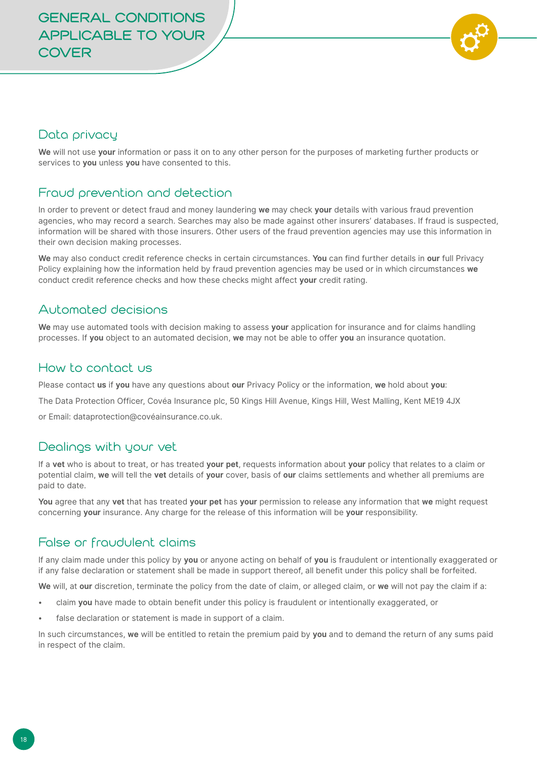

### Data privacy

**We** will not use **your** information or pass it on to any other person for the purposes of marketing further products or services to **you** unless **you** have consented to this.

### Fraud prevention and detection

In order to prevent or detect fraud and money laundering **we** may check **your** details with various fraud prevention agencies, who may record a search. Searches may also be made against other insurers' databases. If fraud is suspected, information will be shared with those insurers. Other users of the fraud prevention agencies may use this information in their own decision making processes.

**We** may also conduct credit reference checks in certain circumstances. **You** can find further details in **our** full Privacy Policy explaining how the information held by fraud prevention agencies may be used or in which circumstances **we**  conduct credit reference checks and how these checks might affect **your** credit rating.

### Automated decisions

**We** may use automated tools with decision making to assess **your** application for insurance and for claims handling processes. If **you** object to an automated decision, **we** may not be able to offer **you** an insurance quotation.

### How to contact us

Please contact **us** if **you** have any questions about **our** Privacy Policy or the information, **we** hold about **you**:

The Data Protection Officer, Covéa Insurance plc, 50 Kings Hill Avenue, Kings Hill, West Malling, Kent ME19 4JX

or Email: dataprotection@covéainsurance.co.uk.

### Dealings with your vet

If a **vet** who is about to treat, or has treated **your pet**, requests information about **your** policy that relates to a claim or potential claim, **we** will tell the **vet** details of **your** cover, basis of **our** claims settlements and whether all premiums are paid to date.

**You** agree that any **vet** that has treated **your pet** has **your** permission to release any information that **we** might request concerning **your** insurance. Any charge for the release of this information will be **your** responsibility.

### False or fraudulent claims

If any claim made under this policy by **you** or anyone acting on behalf of **you** is fraudulent or intentionally exaggerated or if any false declaration or statement shall be made in support thereof, all benefit under this policy shall be forfeited.

**We** will, at **our** discretion, terminate the policy from the date of claim, or alleged claim, or **we** will not pay the claim if a:

- **•** claim **you** have made to obtain benefit under this policy is fraudulent or intentionally exaggerated, or
- **•** false declaration or statement is made in support of a claim.

In such circumstances, **we** will be entitled to retain the premium paid by **you** and to demand the return of any sums paid in respect of the claim.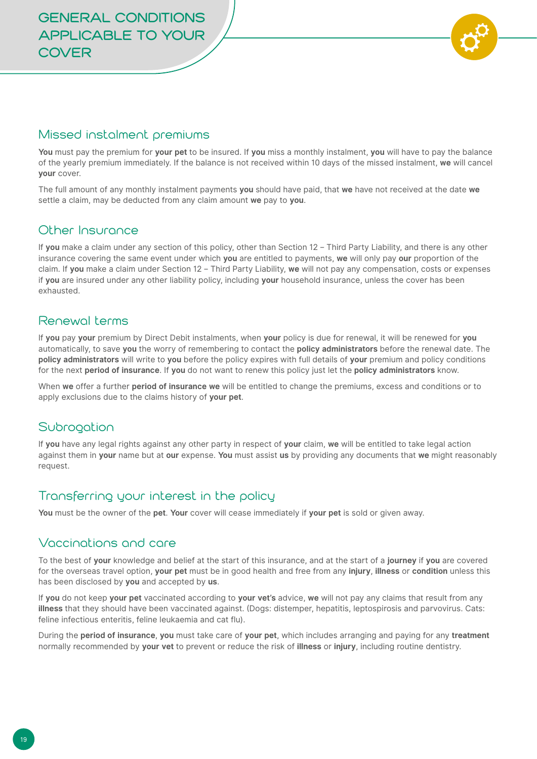

### Missed instalment premiums

**You** must pay the premium for **your pet** to be insured. If **you** miss a monthly instalment, **you** will have to pay the balance of the yearly premium immediately. If the balance is not received within 10 days of the missed instalment, **we** will cancel **your** cover.

The full amount of any monthly instalment payments **you** should have paid, that **we** have not received at the date **we**  settle a claim, may be deducted from any claim amount **we** pay to **you**.

### Other Insurance

If **you** make a claim under any section of this policy, other than Section 12 – Third Party Liability, and there is any other insurance covering the same event under which **you** are entitled to payments, **we** will only pay **our** proportion of the claim. If **you** make a claim under Section 12 – Third Party Liability, **we** will not pay any compensation, costs or expenses if **you** are insured under any other liability policy, including **your** household insurance, unless the cover has been exhausted.

### Renewal terms

If **you** pay **your** premium by Direct Debit instalments, when **your** policy is due for renewal, it will be renewed for **you** automatically, to save **you** the worry of remembering to contact the **policy administrators** before the renewal date. The **policy administrators** will write to **you** before the policy expires with full details of **your** premium and policy conditions for the next **period of insurance**. If **you** do not want to renew this policy just let the **policy administrators** know.

When **we** offer a further **period of insurance we** will be entitled to change the premiums, excess and conditions or to apply exclusions due to the claims history of **your pet**.

# **Subrogation**

If **you** have any legal rights against any other party in respect of **your** claim, **we** will be entitled to take legal action against them in **your** name but at **our** expense. **You** must assist **us** by providing any documents that **we** might reasonably request.

### Transferring your interest in the policy

**You** must be the owner of the **pet**. **Your** cover will cease immediately if **your pet** is sold or given away.

### Vaccinations and care

To the best of **your** knowledge and belief at the start of this insurance, and at the start of a **journey** if **you** are covered for the overseas travel option, **your pet** must be in good health and free from any **injury**, **illness** or **condition** unless this has been disclosed by **you** and accepted by **us**.

If **you** do not keep **your pet** vaccinated according to **your vet's** advice, **we** will not pay any claims that result from any **illness** that they should have been vaccinated against. (Dogs: distemper, hepatitis, leptospirosis and parvovirus. Cats: feline infectious enteritis, feline leukaemia and cat flu).

During the **period of insurance**, **you** must take care of **your pet**, which includes arranging and paying for any **treatment**  normally recommended by **your vet** to prevent or reduce the risk of **illness** or **injury**, including routine dentistry.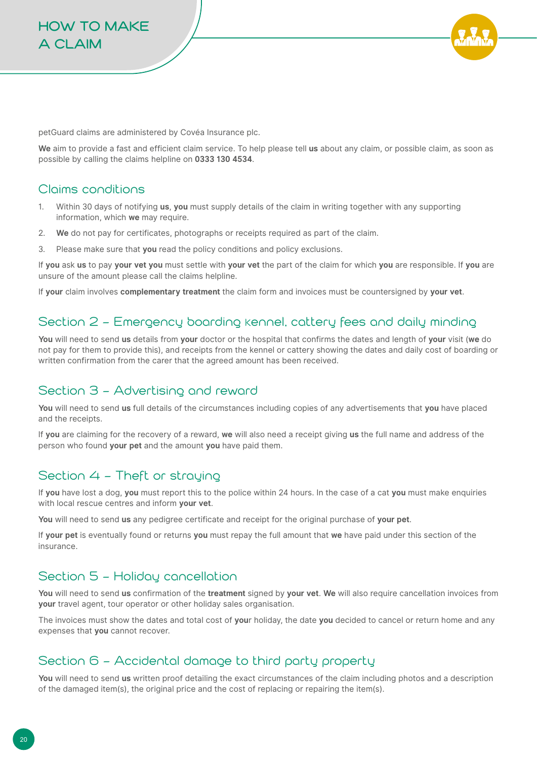

petGuard claims are administered by Covéa Insurance plc.

**We** aim to provide a fast and efficient claim service. To help please tell **us** about any claim, or possible claim, as soon as possible by calling the claims helpline on **0333 130 4534**.

### Claims conditions

- 1. Within 30 days of notifying **us**, **you** must supply details of the claim in writing together with any supporting information, which **we** may require.
- 2. **We** do not pay for certificates, photographs or receipts required as part of the claim.
- 3. Please make sure that **you** read the policy conditions and policy exclusions.

If **you** ask **us** to pay **your vet you** must settle with **your vet** the part of the claim for which **you** are responsible. If **you** are unsure of the amount please call the claims helpline.

If **your** claim involves **complementary treatment** the claim form and invoices must be countersigned by **your vet**.

# Section 2 – Emergency boarding kennel, cattery fees and daily minding

**You** will need to send **us** details from **your** doctor or the hospital that confirms the dates and length of **your** visit (**we** do not pay for them to provide this), and receipts from the kennel or cattery showing the dates and daily cost of boarding or written confirmation from the carer that the agreed amount has been received.

# Section 3 – Advertising and reward

**You** will need to send **us** full details of the circumstances including copies of any advertisements that **you** have placed and the receipts.

If **you** are claiming for the recovery of a reward, **we** will also need a receipt giving **us** the full name and address of the person who found **your pet** and the amount **you** have paid them.

### Section 4 – Theft or straying

If **you** have lost a dog, **you** must report this to the police within 24 hours. In the case of a cat **you** must make enquiries with local rescue centres and inform **your vet**.

**You** will need to send **us** any pedigree certificate and receipt for the original purchase of **your pet**.

If **your pet** is eventually found or returns **you** must repay the full amount that **we** have paid under this section of the insurance.

### Section 5 – Holiday cancellation

**You** will need to send **us** confirmation of the **treatment** signed by **your vet**. **We** will also require cancellation invoices from **your** travel agent, tour operator or other holiday sales organisation.

The invoices must show the dates and total cost of **you**r holiday, the date **you** decided to cancel or return home and any expenses that **you** cannot recover.

# Section 6 – Accidental damage to third party property

**You** will need to send **us** written proof detailing the exact circumstances of the claim including photos and a description of the damaged item(s), the original price and the cost of replacing or repairing the item(s).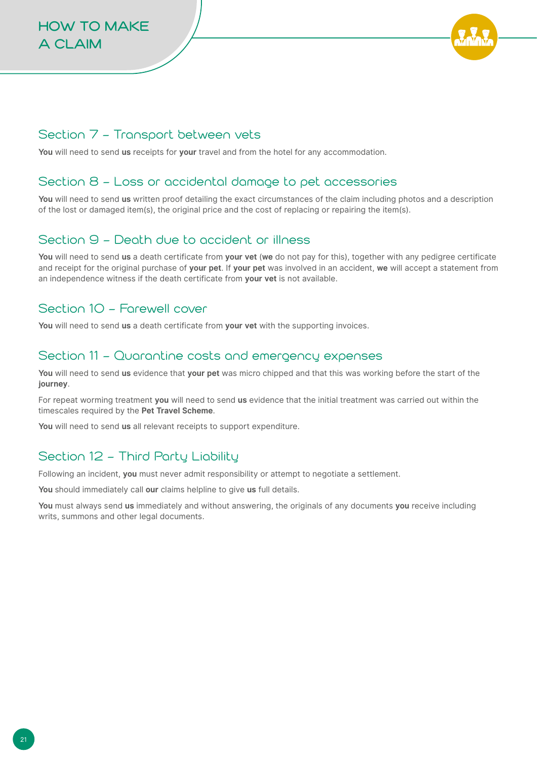# **HOW TO MAKE A CLAIM**



# Section 7 – Transport between vets

**You** will need to send **us** receipts for **your** travel and from the hotel for any accommodation.

### Section 8 – Loss or accidental damage to pet accessories

**You** will need to send **us** written proof detailing the exact circumstances of the claim including photos and a description of the lost or damaged item(s), the original price and the cost of replacing or repairing the item(s).

# Section 9 – Death due to accident or illness

**You** will need to send **us** a death certificate from **your vet** (**we** do not pay for this), together with any pedigree certificate and receipt for the original purchase of **your pet**. If **your pet** was involved in an accident, **we** will accept a statement from an independence witness if the death certificate from **your vet** is not available.

# Section 10 – Farewell cover

**You** will need to send **us** a death certificate from **your vet** with the supporting invoices.

# Section 11 – Quarantine costs and emergency expenses

**You** will need to send **us** evidence that **your pet** was micro chipped and that this was working before the start of the **journey**.

For repeat worming treatment **you** will need to send **us** evidence that the initial treatment was carried out within the timescales required by the **Pet Travel Scheme**.

**You** will need to send **us** all relevant receipts to support expenditure.

# Section 12 – Third Party Liability

Following an incident, **you** must never admit responsibility or attempt to negotiate a settlement.

**You** should immediately call **our** claims helpline to give **us** full details.

**You** must always send **us** immediately and without answering, the originals of any documents **you** receive including writs, summons and other legal documents.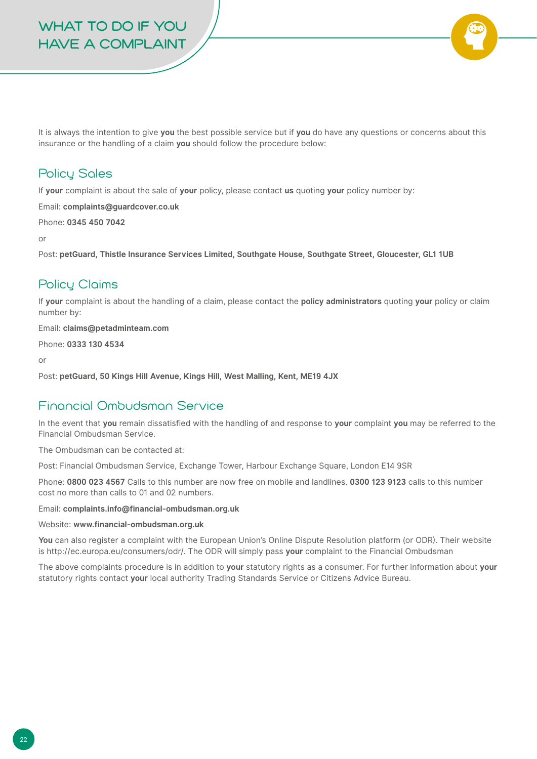# **WHAT TO DO IF YOU HAVE A COMPLAINT**

It is always the intention to give **you** the best possible service but if **you** do have any questions or concerns about this insurance or the handling of a claim **you** should follow the procedure below:

# Policy Sales

If **your** complaint is about the sale of **your** policy, please contact **us** quoting **your** policy number by:

Email: **complaints@guardcover.co.uk**

Phone: **0345 450 7042**

or

Post: **petGuard, Thistle Insurance Services Limited, Southgate House, Southgate Street, Gloucester, GL1 1UB**

# Policy Claims

If **your** complaint is about the handling of a claim, please contact the **policy administrators** quoting **your** policy or claim number by:

Email: **claims@petadminteam.com** 

Phone: **0333 130 4534**

or

Post: **petGuard, 50 Kings Hill Avenue, Kings Hill, West Malling, Kent, ME19 4JX** 

# Financial Ombudsman Service

In the event that **you** remain dissatisfied with the handling of and response to **your** complaint **you** may be referred to the Financial Ombudsman Service.

The Ombudsman can be contacted at:

Post: Financial Ombudsman Service, Exchange Tower, Harbour Exchange Square, London E14 9SR

Phone: **0800 023 4567** Calls to this number are now free on mobile and landlines. **0300 123 9123** calls to this number cost no more than calls to 01 and 02 numbers.

#### Email: **complaints.info@financial-ombudsman.org.uk**

#### Website: **www.financial-ombudsman.org.uk**

**You** can also register a complaint with the European Union's Online Dispute Resolution platform (or ODR). Their website is http://ec.europa.eu/consumers/odr/. The ODR will simply pass **your** complaint to the Financial Ombudsman

The above complaints procedure is in addition to **your** statutory rights as a consumer. For further information about **your**  statutory rights contact **your** local authority Trading Standards Service or Citizens Advice Bureau.